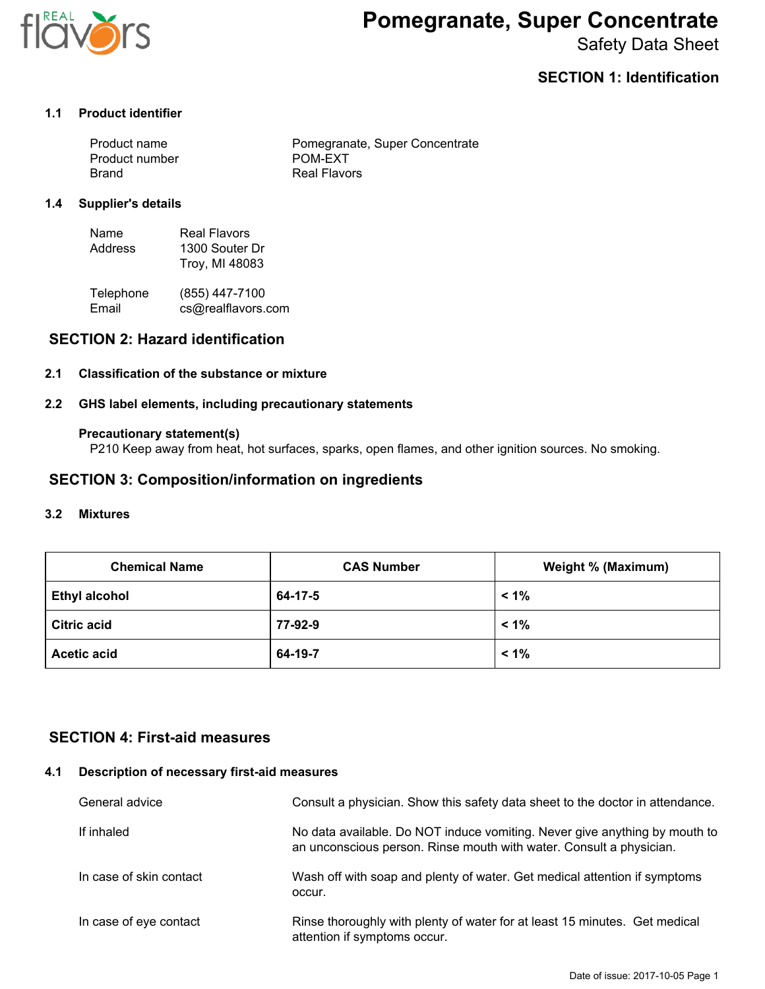

# **Pomegranate, Super Concentrate**

Safety Data Sheet

## **SECTION 1: Identification**

#### **1.1 Product identifier**

| Product name   | Pomegranate, Super Concentrate |
|----------------|--------------------------------|
| Product number | POM-EXT                        |
| Brand          | Real Flavors                   |

#### **1.4 Supplier's details**

| Name    | Real Flavors   |
|---------|----------------|
| Address | 1300 Souter Dr |
|         | Troy, MI 48083 |

| Telephone | (855) 447-7100     |
|-----------|--------------------|
| Email     | cs@realflavors.com |

## **SECTION 2: Hazard identification**

#### **2.1 Classification of the substance or mixture**

#### **2.2 GHS label elements, including precautionary statements**

#### **Precautionary statement(s)**

P210 Keep away from heat, hot surfaces, sparks, open flames, and other ignition sources. No smoking.

## **SECTION 3: Composition/information on ingredients**

#### **3.2 Mixtures**

| <b>Chemical Name</b> | <b>CAS Number</b> | Weight % (Maximum) |
|----------------------|-------------------|--------------------|
| <b>Ethyl alcohol</b> | 64-17-5           | $1\%$              |
| <b>Citric acid</b>   | 77-92-9           | $< 1\%$            |
| <b>Acetic acid</b>   | 64-19-7           | $1\%$              |

## **SECTION 4: First-aid measures**

#### **4.1 Description of necessary first-aid measures**

| General advice          | Consult a physician. Show this safety data sheet to the doctor in attendance.                                                                     |
|-------------------------|---------------------------------------------------------------------------------------------------------------------------------------------------|
| If inhaled              | No data available. Do NOT induce vomiting. Never give anything by mouth to<br>an unconscious person. Rinse mouth with water. Consult a physician. |
| In case of skin contact | Wash off with soap and plenty of water. Get medical attention if symptoms<br>occur.                                                               |
| In case of eye contact  | Rinse thoroughly with plenty of water for at least 15 minutes. Get medical<br>attention if symptoms occur.                                        |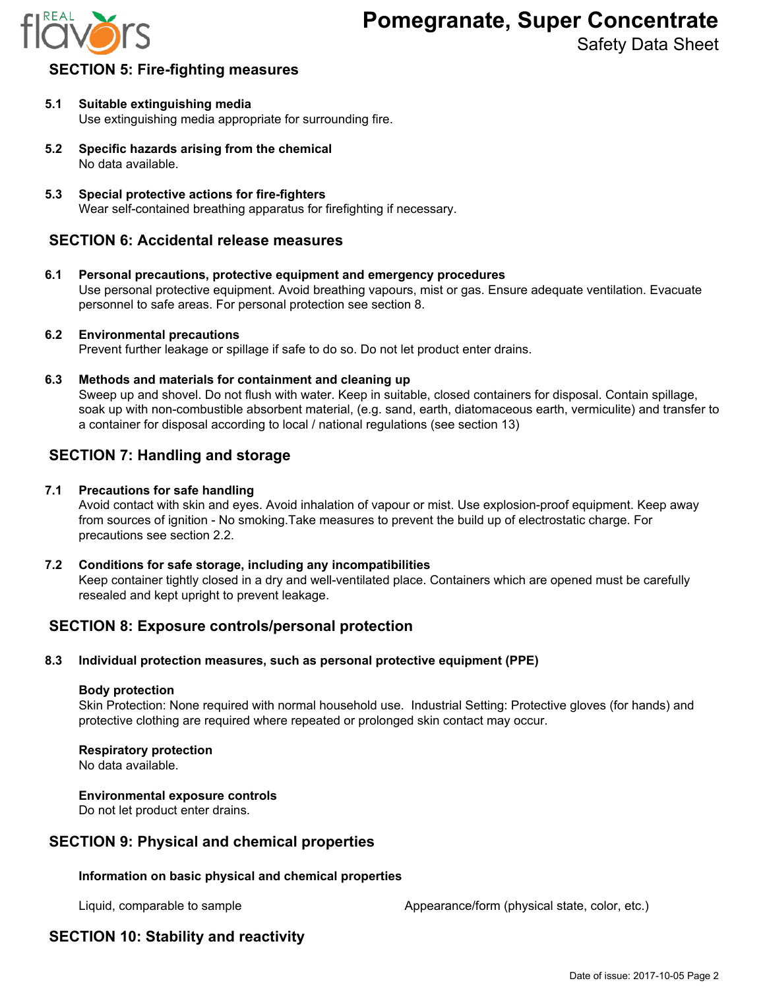

Safety Data Sheet

## **SECTION 5: Fire-fighting measures**

- **5.1 Suitable extinguishing media** Use extinguishing media appropriate for surrounding fire.
- **5.2 Specific hazards arising from the chemical** No data available.
- **5.3 Special protective actions for fire-fighters** Wear self-contained breathing apparatus for firefighting if necessary.

## **SECTION 6: Accidental release measures**

**6.1 Personal precautions, protective equipment and emergency procedures** Use personal protective equipment. Avoid breathing vapours, mist or gas. Ensure adequate ventilation. Evacuate personnel to safe areas. For personal protection see section 8.

#### **6.2 Environmental precautions**

Prevent further leakage or spillage if safe to do so. Do not let product enter drains.

**6.3 Methods and materials for containment and cleaning up**

Sweep up and shovel. Do not flush with water. Keep in suitable, closed containers for disposal. Contain spillage, soak up with non-combustible absorbent material, (e.g. sand, earth, diatomaceous earth, vermiculite) and transfer to a container for disposal according to local / national regulations (see section 13)

## **SECTION 7: Handling and storage**

#### **7.1 Precautions for safe handling**

Avoid contact with skin and eyes. Avoid inhalation of vapour or mist. Use explosion-proof equipment. Keep away from sources of ignition - No smoking.Take measures to prevent the build up of electrostatic charge. For precautions see section 2.2.

#### **7.2 Conditions for safe storage, including any incompatibilities**

Keep container tightly closed in a dry and well-ventilated place. Containers which are opened must be carefully resealed and kept upright to prevent leakage.

## **SECTION 8: Exposure controls/personal protection**

#### **8.3 Individual protection measures, such as personal protective equipment (PPE)**

#### **Body protection**

Skin Protection: None required with normal household use. Industrial Setting: Protective gloves (for hands) and protective clothing are required where repeated or prolonged skin contact may occur.

#### **Respiratory protection**

No data available.

#### **Environmental exposure controls**

Do not let product enter drains.

## **SECTION 9: Physical and chemical properties**

#### **Information on basic physical and chemical properties**

Liquid, comparable to sample **Appearance/form (physical state, color, etc.)** Appearance/form (physical state, color, etc.)

# **SECTION 10: Stability and reactivity**